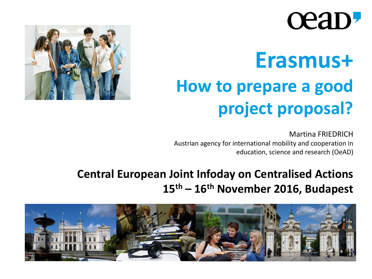# ceap.

# **Erasmus+ How to prepare a good project proposal?**

Martina FRIEDRICH Austrian agency for international mobility and cooperation in education, science and research (OeAD)

### **Central European Joint Infoday on Centralised Actions 15th – 16th November 2016, Budapest**



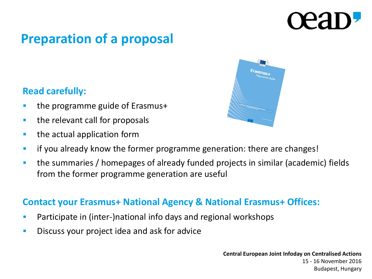## **Preparation of a proposal**

### **Read carefully:**

- the programme guide of Erasmus+
- **the relevant call for proposals**
- **the actual application form**



- **If you already know the former programme generation: there are changes!**
- the summaries / homepages of already funded projects in similar (academic) fields from the former programme generation are useful

### **Contact your Erasmus+ National Agency & National Erasmus+ Offices:**

- Participate in (inter-)national info days and regional workshops
- **Discuss your project idea and ask for advice**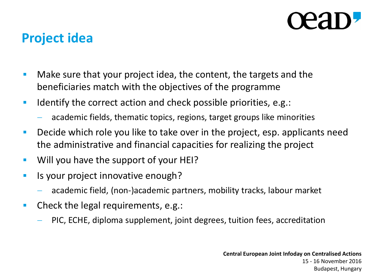## **Project idea**

- **Make sure that your project idea, the content, the targets and the** beneficiaries match with the objectives of the programme
- Identify the correct action and check possible priorities, e.g.:
	- academic fields, thematic topics, regions, target groups like minorities
- **Decide which role you like to take over in the project, esp. applicants need** the administrative and financial capacities for realizing the project
- **Will you have the support of your HEI?**
- **If** Is your project innovative enough?
	- academic field, (non-)academic partners, mobility tracks, labour market
- **Check the legal requirements, e.g.:** 
	- PIC, ECHE, diploma supplement, joint degrees, tuition fees, accreditation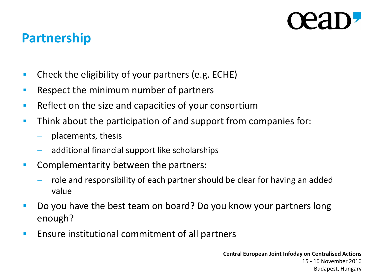## **Partnership**

- **•** Check the eligibility of your partners (e.g. ECHE)
- **Respect the minimum number of partners**
- Reflect on the size and capacities of your consortium
- **Think about the participation of and support from companies for:** 
	- $-$  placements, thesis
	- additional financial support like scholarships
- **Complementarity between the partners:** 
	- $-$  role and responsibility of each partner should be clear for having an added value
- Do you have the best team on board? Do you know your partners long enough?
- **Ensure institutional commitment of all partners**

**Central European Joint Infoday on Centralised Actions** 15 - 16 November 2016 Budapest, Hungary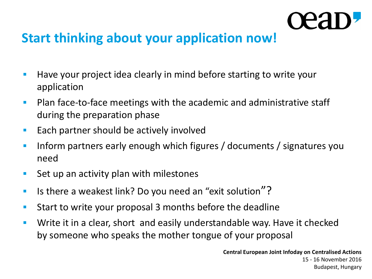## **Start thinking about your application now!**

- **Have your project idea clearly in mind before starting to write your** application
- **Plan face-to-face meetings with the academic and administrative staff** during the preparation phase
- **Each partner should be actively involved**
- **Inform partners early enough which figures / documents / signatures you** need
- Set up an activity plan with milestones
- Is there a weakest link? Do you need an "exit solution"?
- **Start to write your proposal 3 months before the deadline**
- **Write it in a clear, short and easily understandable way. Have it checked** by someone who speaks the mother tongue of your proposal

**Central European Joint Infoday on Centralised Actions** 15 - 16 November 2016 Budapest, Hungary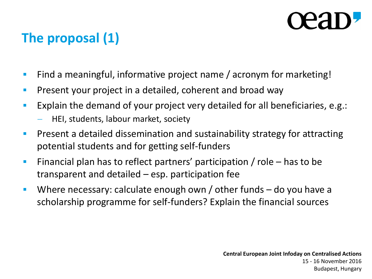# **The proposal (1)**

- Find a meaningful, informative project name / acronym for marketing!
- **Present your project in a detailed, coherent and broad way**
- **Explain the demand of your project very detailed for all beneficiaries, e.g.:** 
	- HEI, students, labour market, society
- **Phemist and Setube Equipment Constraination and sustainability strategy for attracting Fig. 3.** potential students and for getting self-funders
- Financial plan has to reflect partners' participation / role  $-$  has to be transparent and detailed – esp. participation fee
- Where necessary: calculate enough own / other funds do you have a scholarship programme for self-funders? Explain the financial sources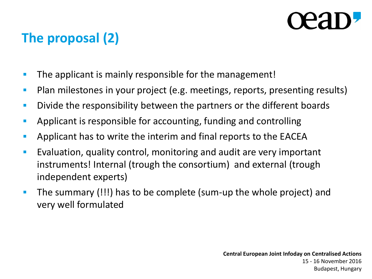# **The proposal (2)**

- **The applicant is mainly responsible for the management!**
- **Plan milestones in your project (e.g. meetings, reports, presenting results)**
- **Divide the responsibility between the partners or the different boards**
- Applicant is responsible for accounting, funding and controlling
- Applicant has to write the interim and final reports to the EACEA
- **E** Evaluation, quality control, monitoring and audit are very important instruments! Internal (trough the consortium) and external (trough independent experts)
- The summary (!!!) has to be complete (sum-up the whole project) and very well formulated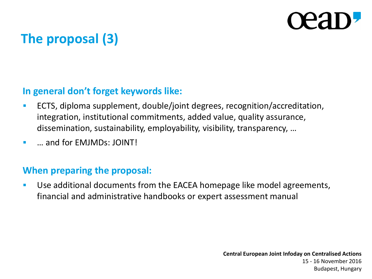# **The proposal (3)**

### **In general don't forget keywords like:**

- ECTS, diploma supplement, double/joint degrees, recognition/accreditation, integration, institutional commitments, added value, quality assurance, dissemination, sustainability, employability, visibility, transparency, …
- **E we and for FMIMDs: JOINT!**

### **When preparing the proposal:**

 Use additional documents from the EACEA homepage like model agreements, financial and administrative handbooks or expert assessment manual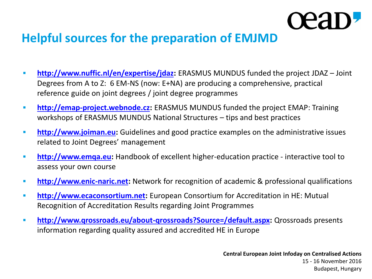## **Helpful sources for the preparation of EMJMD**

- **<http://www.nuffic.nl/en/expertise/jdaz>:** ERASMUS MUNDUS funded the project JDAZ Joint Degrees from A to Z: 6 EM-NS (now: E+NA) are producing a comprehensive, practical reference guide on joint degrees / joint degree programmes
- **[http://emap-project.webnode.cz](http://emap-project.webnode.cz/)**: ERASMUS MUNDUS funded the project EMAP: Training workshops of ERASMUS MUNDUS National Structures – tips and best practices
- **[http://www.joiman.eu](http://www.joiman.eu/):** Guidelines and good practice examples on the administrative issues related to Joint Degrees' management
- **[http://www.emqa.eu](http://www.emqa.eu/):** Handbook of excellent higher-education practice interactive tool to assess your own course
- **[http://www.enic-naric.net](http://www.enic-naric.net/)**: Network for recognition of academic & professional qualifications
- **[http://www.ecaconsortium.net](http://www.ecaconsortium.net/):** European Consortium for Accreditation in HE: Mutual Recognition of Accreditation Results regarding Joint Programmes
- **<http://www.qrossroads.eu/about-qrossroads?Source=/default.aspx>:** Qrossroads presents information regarding quality assured and accredited HE in Europe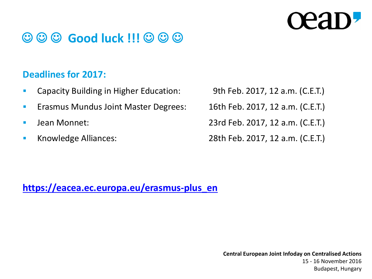# **CPAI**

## $\odot$  $\odot$  $\odot$  **Good luck !!!**  $\odot$  $\odot$  $\odot$

### **Deadlines for 2017:**

- **Capacity Building in Higher Education:** 9th Feb. 2017, 12 a.m. (C.E.T.)
- **Erasmus Mundus Joint Master Degrees:** 16th Feb. 2017, 12 a.m. (C.E.T.)
- 
- 

Jean Monnet: 23rd Feb. 2017, 12 a.m. (C.E.T.)

Knowledge Alliances: 28th Feb. 2017, 12 a.m. (C.E.T.)

**[https://eacea.ec.europa.eu/erasmus-plus\\_en](https://eacea.ec.europa.eu/erasmus-plus_en)**

**Central European Joint Infoday on Centralised Actions** 15 - 16 November 2016 Budapest, Hungary